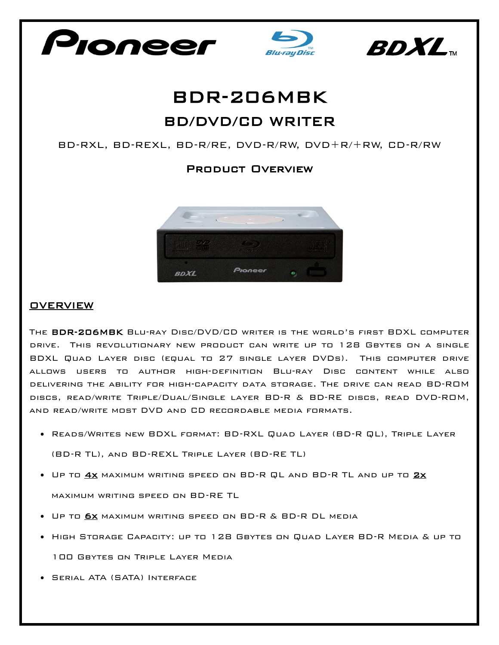





## BDR-206MBK BD/DVD/CD WRITER

BD-RXL, BD-REXL, BD-R/RE, DVD-R/RW, DVD+R/+RW, CD-R/RW

## Product Overview



## **OVERVIEW**

The BDR-206MBK Blu-ray Disc/DVD/CD writer is the world's first BDXL computer drive. This revolutionary new product can write up to 128 Gbytes on a single BDXL Quad Layer disc (equal to 27 single layer DVDs). This computer drive allows users to author high-definition Blu-ray Disc content while also delivering the ability for high-capacity data storage. The drive can read BD-ROM discs, read/write Triple/Dual/Single layer BD-R & BD-RE discs, read DVD-ROM, and read/write most DVD and CD recordable media formats.

- Reads/Writes new BDXL format: BD-RXL Quad Layer (BD-R QL), Triple Layer (BD-R TL), and BD-REXL Triple Layer (BD-RE TL)
- Up to 4x maximum writing speed on BD-R QL and BD-R TL and up to 2x maximum writing speed on BD-RE TL
- Up to 6x maximum writing speed on BD-R & BD-R DL media
- High Storage Capacity: up to 128 Gbytes on Quad Layer BD-R Media & up to 100 Gbytes on Triple Layer Media
- Serial ATA (SATA) Interface